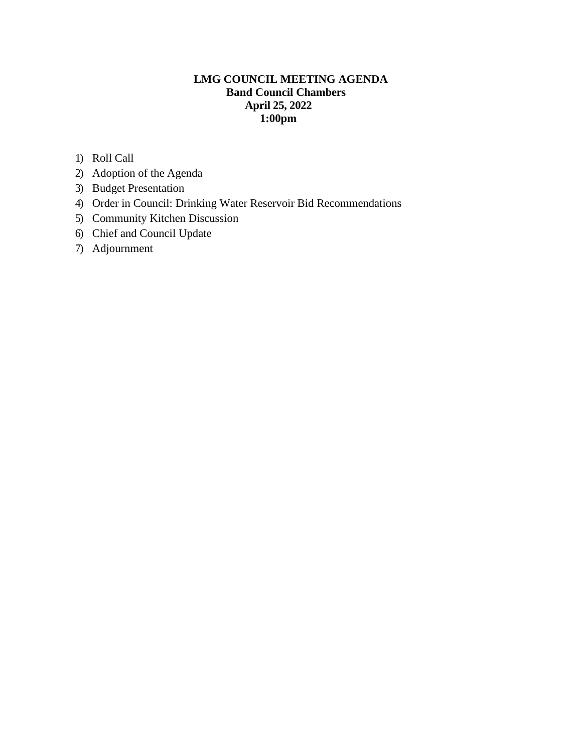# **LMG COUNCIL MEETING AGENDA Band Council Chambers April 25, 2022 1:00pm**

- 1) Roll Call
- 2) Adoption of the Agenda
- 3) Budget Presentation
- 4) Order in Council: Drinking Water Reservoir Bid Recommendations
- 5) Community Kitchen Discussion
- 6) Chief and Council Update
- 7) Adjournment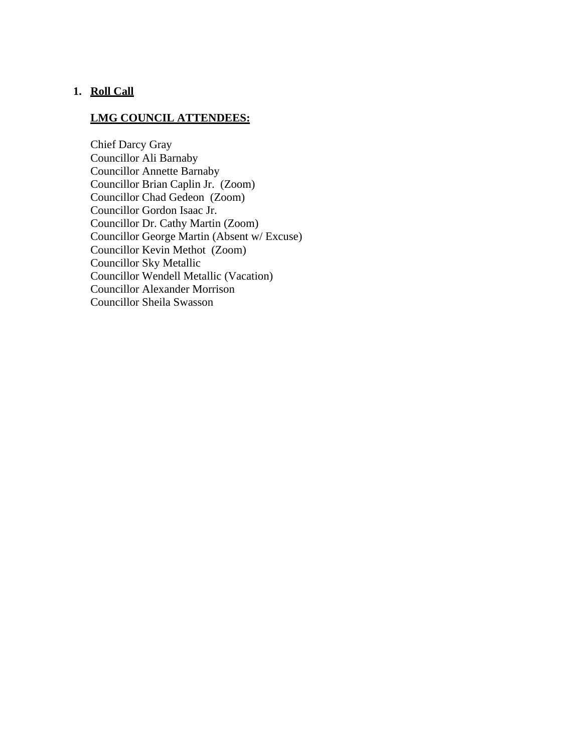# **1. Roll Call**

# **LMG COUNCIL ATTENDEES:**

Chief Darcy Gray Councillor Ali Barnaby Councillor Annette Barnaby Councillor Brian Caplin Jr. (Zoom) Councillor Chad Gedeon (Zoom) Councillor Gordon Isaac Jr. Councillor Dr. Cathy Martin (Zoom) Councillor George Martin (Absent w/ Excuse) Councillor Kevin Methot (Zoom) Councillor Sky Metallic Councillor Wendell Metallic (Vacation) Councillor Alexander Morrison Councillor Sheila Swasson